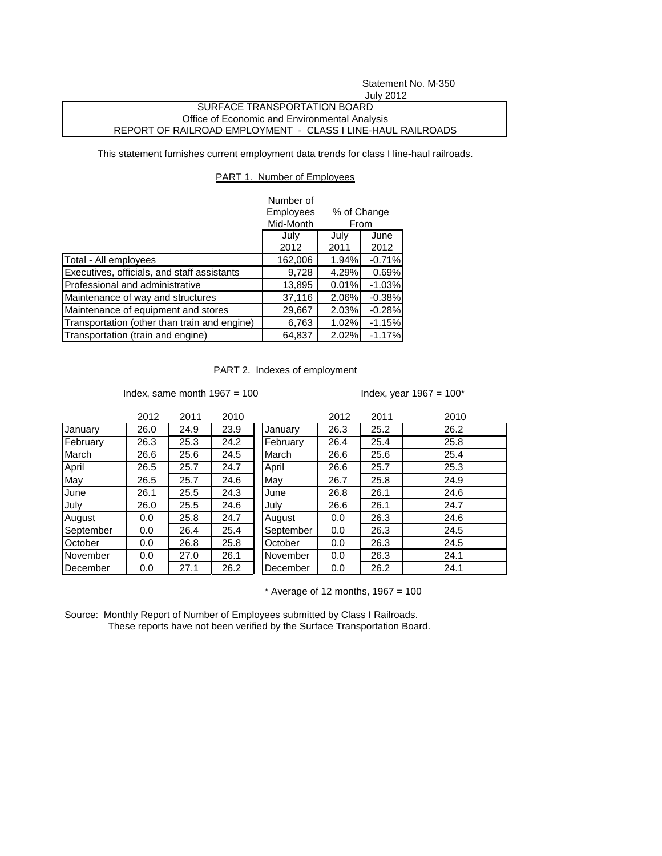# Statement No. M-350 July 2012

## SURFACE TRANSPORTATION BOARD Office of Economic and Environmental Analysis REPORT OF RAILROAD EMPLOYMENT - CLASS I LINE-HAUL RAILROADS

This statement furnishes current employment data trends for class I line-haul railroads.

#### PART 1. Number of Employees

|                                              | Number of<br>Employees | % of Change<br>From |          |  |
|----------------------------------------------|------------------------|---------------------|----------|--|
|                                              | Mid-Month              |                     |          |  |
|                                              | July                   | June                |          |  |
|                                              | 2012                   | 2011                | 2012     |  |
| Total - All employees                        | 162,006                | 1.94%               | $-0.71%$ |  |
| Executives, officials, and staff assistants  | 9,728                  | 4.29%               | 0.69%    |  |
| Professional and administrative              | 13,895                 | 0.01%               | $-1.03%$ |  |
| Maintenance of way and structures            | 37,116                 | 2.06%               | $-0.38%$ |  |
| Maintenance of equipment and stores          | 29,667                 | 2.03%               | $-0.28%$ |  |
| Transportation (other than train and engine) | 6,763                  | 1.02%               | $-1.15%$ |  |
| Transportation (train and engine)            | 64,837                 | 2.02%               | $-1.17%$ |  |

### PART 2. Indexes of employment

Index, same month  $1967 = 100$  Index, year  $1967 = 100^*$ 

|           | 2012 | 2011 | 2010 |           | 2012 | 2011 | 2010 |
|-----------|------|------|------|-----------|------|------|------|
| January   | 26.0 | 24.9 | 23.9 | January   | 26.3 | 25.2 | 26.2 |
| February  | 26.3 | 25.3 | 24.2 | February  | 26.4 | 25.4 | 25.8 |
| March     | 26.6 | 25.6 | 24.5 | March     | 26.6 | 25.6 | 25.4 |
| April     | 26.5 | 25.7 | 24.7 | April     | 26.6 | 25.7 | 25.3 |
| May       | 26.5 | 25.7 | 24.6 | May       | 26.7 | 25.8 | 24.9 |
| June      | 26.1 | 25.5 | 24.3 | June      | 26.8 | 26.1 | 24.6 |
| July      | 26.0 | 25.5 | 24.6 | July      | 26.6 | 26.1 | 24.7 |
| August    | 0.0  | 25.8 | 24.7 | August    | 0.0  | 26.3 | 24.6 |
| September | 0.0  | 26.4 | 25.4 | September | 0.0  | 26.3 | 24.5 |
| October   | 0.0  | 26.8 | 25.8 | October   | 0.0  | 26.3 | 24.5 |
| November  | 0.0  | 27.0 | 26.1 | November  | 0.0  | 26.3 | 24.1 |
| December  | 0.0  | 27.1 | 26.2 | December  | 0.0  | 26.2 | 24.1 |

 $*$  Average of 12 months, 1967 = 100

Source: Monthly Report of Number of Employees submitted by Class I Railroads. These reports have not been verified by the Surface Transportation Board.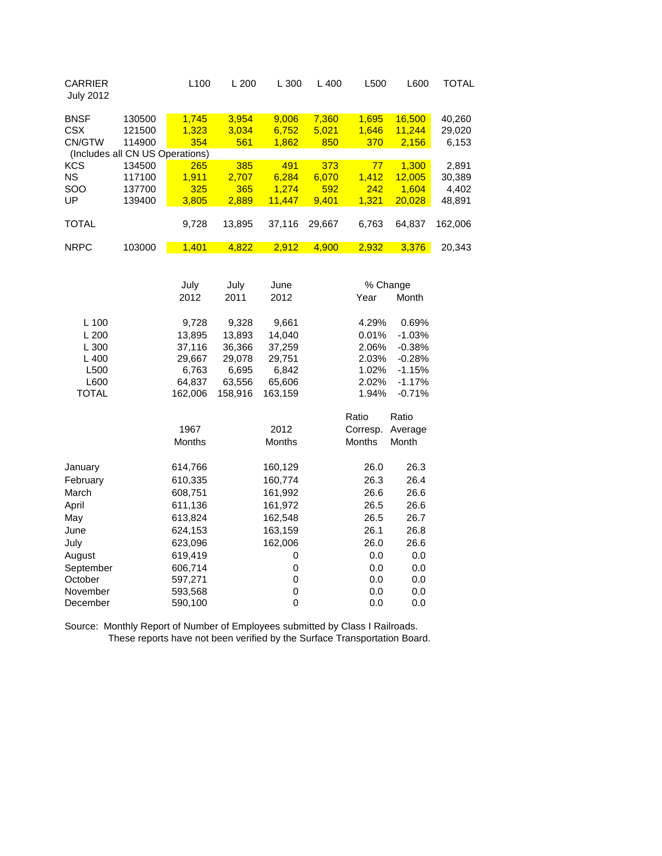| <b>CARRIER</b><br><b>July 2012</b> |        | L <sub>100</sub> | L200   | L300   | $L$ 400 | L500     | L600   | TOTAL   |
|------------------------------------|--------|------------------|--------|--------|---------|----------|--------|---------|
| <b>BNSF</b>                        | 130500 | 1,745            | 3,954  | 9,006  | 7,360   | 1,695    | 16,500 | 40,260  |
| <b>CSX</b>                         | 121500 | 1,323            | 3,034  | 6,752  | 5,021   | 1,646    | 11,244 | 29,020  |
| CN/GTW                             | 114900 | 354              | 561    | 1,862  | 850     | 370      | 2,156  | 6,153   |
| (Includes all CN US Operations)    |        |                  |        |        |         |          |        |         |
| <b>KCS</b>                         | 134500 | 265              | 385    | 491    | 373     | 77       | 1,300  | 2,891   |
| <b>NS</b>                          | 117100 | 1.911            | 2.707  | 6.284  | 6,070   | 1.412    | 12.005 | 30,389  |
| <b>SOO</b>                         | 137700 | 325              | 365    | 1.274  | 592     | 242      | 1.604  | 4,402   |
| UP                                 | 139400 | 3,805            | 2,889  | 11,447 | 9,401   | 1,321    | 20,028 | 48,891  |
|                                    |        |                  |        |        |         |          |        |         |
| <b>TOTAL</b>                       |        | 9,728            | 13,895 | 37,116 | 29,667  | 6,763    | 64.837 | 162,006 |
|                                    |        |                  |        |        |         |          |        |         |
| <b>NRPC</b>                        | 103000 | 1,401            | 4,822  | 2,912  | 4,900   | 2,932    | 3,376  | 20,343  |
|                                    |        |                  |        |        |         |          |        |         |
|                                    |        | July             | July   | June   |         | % Change |        |         |

|              | 2012    | 2011    | 2012          | Year          | Month    |
|--------------|---------|---------|---------------|---------------|----------|
| L 100        | 9,728   | 9,328   | 9,661         | 4.29%         | 0.69%    |
| L200         | 13,895  | 13,893  | 14,040        | 0.01%         | $-1.03%$ |
| L300         | 37,116  | 36,366  | 37,259        | 2.06%         | $-0.38%$ |
| L400         | 29,667  | 29,078  | 29,751        | 2.03%         | $-0.28%$ |
| L500         | 6,763   | 6,695   | 6,842         | 1.02%         | $-1.15%$ |
| L600         | 64,837  | 63,556  | 65,606        | 2.02%         | $-1.17%$ |
| <b>TOTAL</b> | 162,006 | 158,916 | 163,159       | 1.94%         | $-0.71%$ |
|              |         |         |               | Ratio         | Ratio    |
|              | 1967    |         | 2012          | Corresp.      | Average  |
|              | Months  |         | <b>Months</b> | <b>Months</b> | Month    |
| January      | 614,766 |         | 160,129       | 26.0          | 26.3     |
| February     | 610,335 |         | 160,774       | 26.3          | 26.4     |
| March        | 608,751 |         | 161,992       | 26.6          | 26.6     |
| April        | 611,136 |         | 161,972       | 26.5          | 26.6     |
| May          | 613,824 |         | 162,548       | 26.5          | 26.7     |
| June         | 624,153 |         | 163,159       | 26.1          | 26.8     |
| July         | 623,096 |         | 162,006       | 26.0          | 26.6     |
| August       | 619,419 |         | 0             | 0.0           | 0.0      |
| September    | 606,714 |         | 0             | 0.0           | 0.0      |
| October      | 597,271 |         | 0             | 0.0           | 0.0      |
| November     | 593,568 |         | 0             | 0.0           | 0.0      |
| December     | 590,100 |         | 0             | 0.0           | 0.0      |
|              |         |         |               |               |          |

Source: Monthly Report of Number of Employees submitted by Class I Railroads. These reports have not been verified by the Surface Transportation Board.